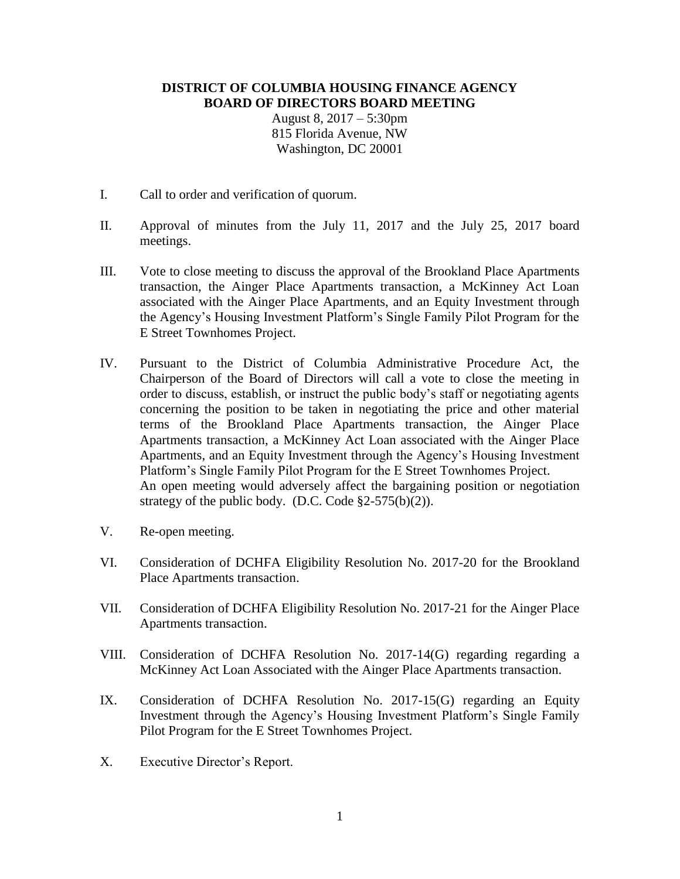## **DISTRICT OF COLUMBIA HOUSING FINANCE AGENCY BOARD OF DIRECTORS BOARD MEETING**

August 8, 2017 – 5:30pm 815 Florida Avenue, NW Washington, DC 20001

- I. Call to order and verification of quorum.
- II. Approval of minutes from the July 11, 2017 and the July 25, 2017 board meetings.
- III. Vote to close meeting to discuss the approval of the Brookland Place Apartments transaction, the Ainger Place Apartments transaction, a McKinney Act Loan associated with the Ainger Place Apartments, and an Equity Investment through the Agency's Housing Investment Platform's Single Family Pilot Program for the E Street Townhomes Project.
- IV. Pursuant to the District of Columbia Administrative Procedure Act, the Chairperson of the Board of Directors will call a vote to close the meeting in order to discuss, establish, or instruct the public body's staff or negotiating agents concerning the position to be taken in negotiating the price and other material terms of the Brookland Place Apartments transaction, the Ainger Place Apartments transaction, a McKinney Act Loan associated with the Ainger Place Apartments, and an Equity Investment through the Agency's Housing Investment Platform's Single Family Pilot Program for the E Street Townhomes Project. An open meeting would adversely affect the bargaining position or negotiation strategy of the public body. (D.C. Code  $\S2-575(b)(2)$ ).
- V. Re-open meeting.
- VI. Consideration of DCHFA Eligibility Resolution No. 2017-20 for the Brookland Place Apartments transaction.
- VII. Consideration of DCHFA Eligibility Resolution No. 2017-21 for the Ainger Place Apartments transaction.
- VIII. Consideration of DCHFA Resolution No. 2017-14(G) regarding regarding a McKinney Act Loan Associated with the Ainger Place Apartments transaction.
- IX. Consideration of DCHFA Resolution No. 2017-15(G) regarding an Equity Investment through the Agency's Housing Investment Platform's Single Family Pilot Program for the E Street Townhomes Project.
- X. Executive Director's Report.